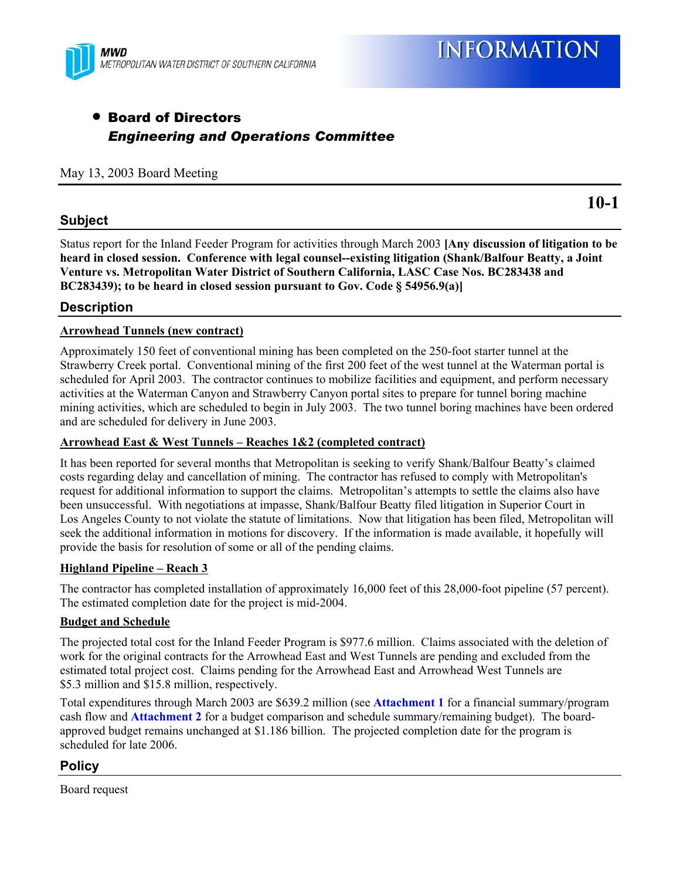

### **• Board of Directors** *Engineering and Operations Committee*

#### May 13, 2003 Board Meeting

#### **Subject**

Status report for the Inland Feeder Program for activities through March 2003 **[Any discussion of litigation to be heard in closed session. Conference with legal counsel--existing litigation (Shank/Balfour Beatty, a Joint Venture vs. Metropolitan Water District of Southern California, LASC Case Nos. BC283438 and BC283439); to be heard in closed session pursuant to Gov. Code § 54956.9(a)]**

#### **Description**

#### **Arrowhead Tunnels (new contract)**

Approximately 150 feet of conventional mining has been completed on the 250-foot starter tunnel at the Strawberry Creek portal. Conventional mining of the first 200 feet of the west tunnel at the Waterman portal is scheduled for April 2003. The contractor continues to mobilize facilities and equipment, and perform necessary activities at the Waterman Canyon and Strawberry Canyon portal sites to prepare for tunnel boring machine mining activities, which are scheduled to begin in July 2003. The two tunnel boring machines have been ordered and are scheduled for delivery in June 2003.

#### **Arrowhead East & West Tunnels – Reaches 1&2 (completed contract)**

It has been reported for several months that Metropolitan is seeking to verify Shank/Balfour Beatty's claimed costs regarding delay and cancellation of mining. The contractor has refused to comply with Metropolitan's request for additional information to support the claims. Metropolitan's attempts to settle the claims also have been unsuccessful. With negotiations at impasse, Shank/Balfour Beatty filed litigation in Superior Court in Los Angeles County to not violate the statute of limitations. Now that litigation has been filed, Metropolitan will seek the additional information in motions for discovery. If the information is made available, it hopefully will provide the basis for resolution of some or all of the pending claims.

#### **Highland Pipeline – Reach 3**

The contractor has completed installation of approximately 16,000 feet of this 28,000-foot pipeline (57 percent). The estimated completion date for the project is mid-2004.

#### **Budget and Schedule**

The projected total cost for the Inland Feeder Program is \$977.6 million. Claims associated with the deletion of work for the original contracts for the Arrowhead East and West Tunnels are pending and excluded from the estimated total project cost. Claims pending for the Arrowhead East and Arrowhead West Tunnels are \$5.3 million and \$15.8 million, respectively.

Total expenditures through March 2003 are \$639.2 million (see **Attachment 1** for a financial summary/program cash flow and **Attachment 2** for a budget comparison and schedule summary/remaining budget). The boardapproved budget remains unchanged at \$1.186 billion. The projected completion date for the program is scheduled for late 2006.

#### **Policy**

Board request

**10-1**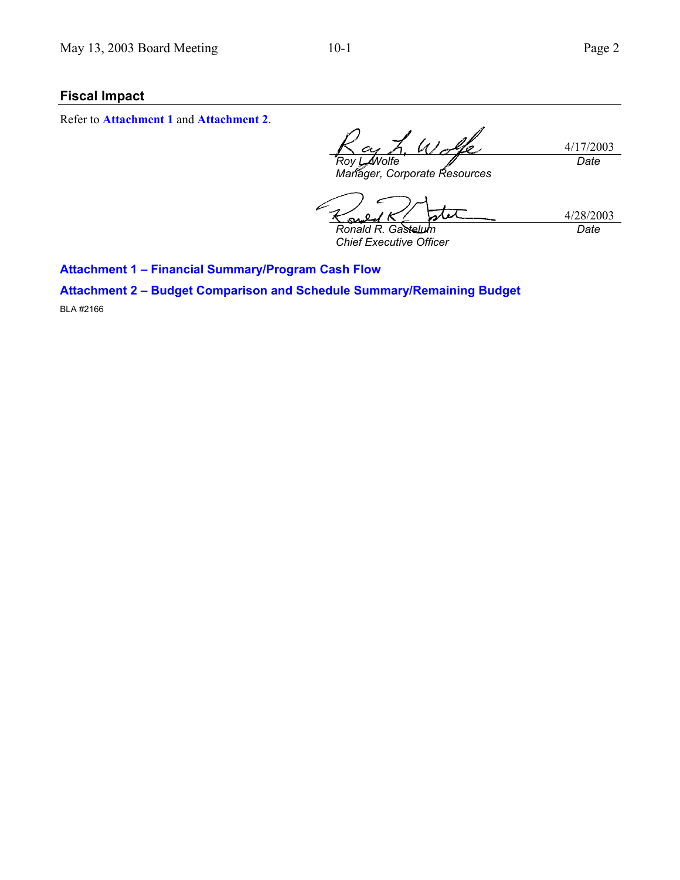#### **Fiscal Impact**

Refer to **Attachment 1** and **Attachment 2**.

4/17/2003 *Roy L. Wolfe Manager, Corporate Resources Date*

4/28/2003 *Ronald R. Gastelum Chief Executive Officer Date*

**Attachment 1 – Financial Summary/Program Cash Flow** 

**Attachment 2 – Budget Comparison and Schedule Summary/Remaining Budget** 

BLA #2166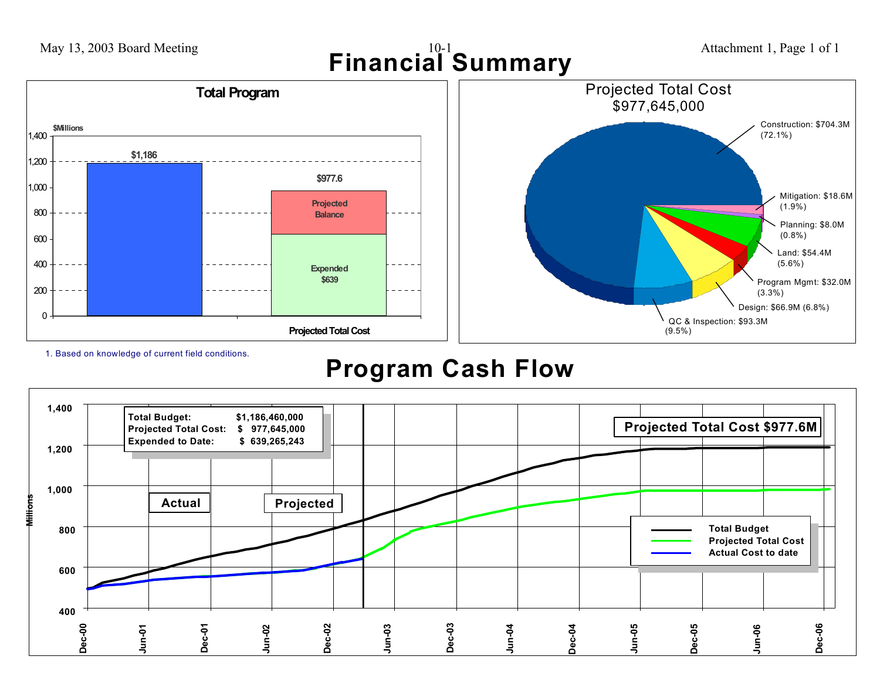

1. Based on knowledge of current field conditions.

# **Program Cash Flow**